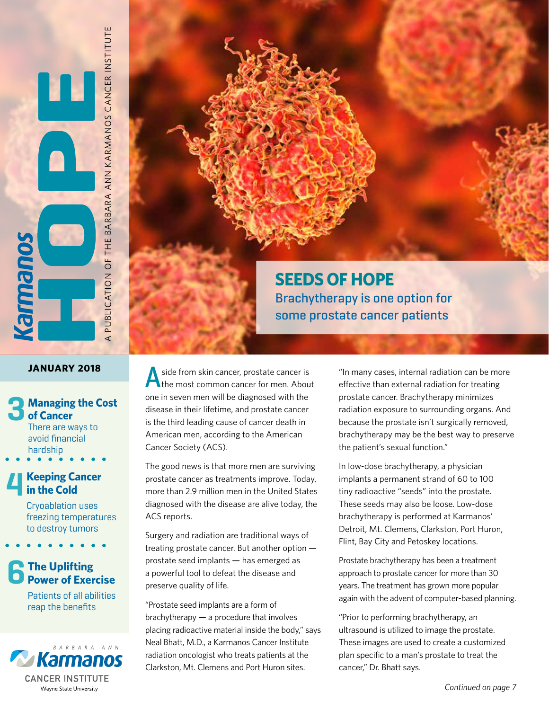A PUBLICATION OF THE BARBARA ANN KARMANOS CANCER INSTITUTE

#### **JANUARY 2018**

**Souewie** 

## **Managing the Cost of Cancer** There are ways to avoid financial hardship **3**<br>  $\cdot$  4<br>
6

#### **Keeping Cancer in the Cold**

Cryoablation uses freezing temperatures to destroy tumors

**The Uplifting Power of Exercise**

> Patients of all abilities reap the benefits



### **SEEDS OF HOPE** Brachytherapy is one option for some prostate cancer patients

side from skin cancer, prostate cancer is<br>
the most common cancer for men. About one in seven men will be diagnosed with the disease in their lifetime, and prostate cancer is the third leading cause of cancer death in American men, according to the American Cancer Society (ACS).

The good news is that more men are surviving prostate cancer as treatments improve. Today, more than 2.9 million men in the United States diagnosed with the disease are alive today, the ACS reports.

Surgery and radiation are traditional ways of treating prostate cancer. But another option prostate seed implants — has emerged as a powerful tool to defeat the disease and preserve quality of life.

"Prostate seed implants are a form of brachytherapy — a procedure that involves placing radioactive material inside the body," says Neal Bhatt, M.D., a Karmanos Cancer Institute radiation oncologist who treats patients at the Clarkston, Mt. Clemens and Port Huron sites.

"In many cases, internal radiation can be more effective than external radiation for treating prostate cancer. Brachytherapy minimizes radiation exposure to surrounding organs. And because the prostate isn't surgically removed, brachytherapy may be the best way to preserve the patient's sexual function."

In low-dose brachytherapy, a physician implants a permanent strand of 60 to 100 tiny radioactive "seeds" into the prostate. These seeds may also be loose. Low-dose brachytherapy is performed at Karmanos' Detroit, Mt. Clemens, Clarkston, Port Huron, Flint, Bay City and Petoskey locations.

Prostate brachytherapy has been a treatment approach to prostate cancer for more than 30 years. The treatment has grown more popular again with the advent of computer-based planning.

"Prior to performing brachytherapy, an ultrasound is utilized to image the prostate. These images are used to create a customized plan specific to a man's prostate to treat the cancer," Dr. Bhatt says.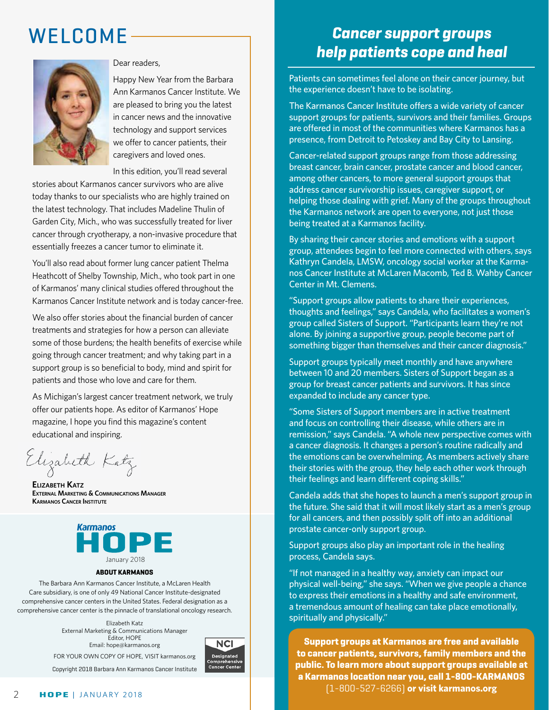## WELCOME



#### Dear readers,

Happy New Year from the Barbara Ann Karmanos Cancer Institute. We are pleased to bring you the latest in cancer news and the innovative technology and support services we offer to cancer patients, their caregivers and loved ones.

In this edition, you'll read several

stories about Karmanos cancer survivors who are alive today thanks to our specialists who are highly trained on the latest technology. That includes Madeline Thulin of Garden City, Mich., who was successfully treated for liver cancer through cryotherapy, a non-invasive procedure that essentially freezes a cancer tumor to eliminate it.

You'll also read about former lung cancer patient Thelma Heathcott of Shelby Township, Mich., who took part in one of Karmanos' many clinical studies offered throughout the Karmanos Cancer Institute network and is today cancer-free.

We also offer stories about the financial burden of cancer treatments and strategies for how a person can alleviate some of those burdens; the health benefits of exercise while going through cancer treatment; and why taking part in a support group is so beneficial to body, mind and spirit for patients and those who love and care for them.

As Michigan's largest cancer treatment network, we truly offer our patients hope. As editor of Karmanos' Hope magazine, I hope you find this magazine's content educational and inspiring.

Elizabeth Katz

**Elizabeth Katz External Marketing & Communications Manager Karmanos Cancer Institute** 



#### **ABOUT KARMANOS**

The Barbara Ann Karmanos Cancer Institute, a McLaren Health Care subsidiary, is one of only 49 National Cancer Institute-designated comprehensive cancer centers in the United States. Federal designation as a comprehensive cancer center is the pinnacle of translational oncology research.

> Elizabeth Katz External Marketing & Communications Manager Editor, HOPE Email: hope@karmanos.org FOR YOUR OWN COPY OF HOPE, VISIT karmanos.org



Copyright 2018 Barbara Ann Karmanos Cancer Institute

#### **Cancer support groups help patients cope and heal**

Patients can sometimes feel alone on their cancer journey, but the experience doesn't have to be isolating.

The Karmanos Cancer Institute offers a wide variety of cancer support groups for patients, survivors and their families. Groups are offered in most of the communities where Karmanos has a presence, from Detroit to Petoskey and Bay City to Lansing.

Cancer-related support groups range from those addressing breast cancer, brain cancer, prostate cancer and blood cancer, among other cancers, to more general support groups that address cancer survivorship issues, caregiver support, or helping those dealing with grief. Many of the groups throughout the Karmanos network are open to everyone, not just those being treated at a Karmanos facility.

By sharing their cancer stories and emotions with a support group, attendees begin to feel more connected with others, says Kathryn Candela, LMSW, oncology social worker at the Karmanos Cancer Institute at McLaren Macomb, Ted B. Wahby Cancer Center in Mt. Clemens.

"Support groups allow patients to share their experiences, thoughts and feelings," says Candela, who facilitates a women's group called Sisters of Support. "Participants learn they're not alone. By joining a supportive group, people become part of something bigger than themselves and their cancer diagnosis."

Support groups typically meet monthly and have anywhere between 10 and 20 members. Sisters of Support began as a group for breast cancer patients and survivors. It has since expanded to include any cancer type.

"Some Sisters of Support members are in active treatment and focus on controlling their disease, while others are in remission," says Candela. "A whole new perspective comes with a cancer diagnosis. It changes a person's routine radically and the emotions can be overwhelming. As members actively share their stories with the group, they help each other work through their feelings and learn different coping skills."

Candela adds that she hopes to launch a men's support group in the future. She said that it will most likely start as a men's group for all cancers, and then possibly split off into an additional prostate cancer-only support group.

Support groups also play an important role in the healing process, Candela says.

"If not managed in a healthy way, anxiety can impact our physical well-being," she says. "When we give people a chance to express their emotions in a healthy and safe environment, a tremendous amount of healing can take place emotionally, spiritually and physically."

**Support groups at Karmanos are free and available to cancer patients, survivors, family members and the public. To learn more about support groups available at a Karmanos location near you, call 1-800-KARMANOS**  (1-800-527-6266) **or visit karmanos.org**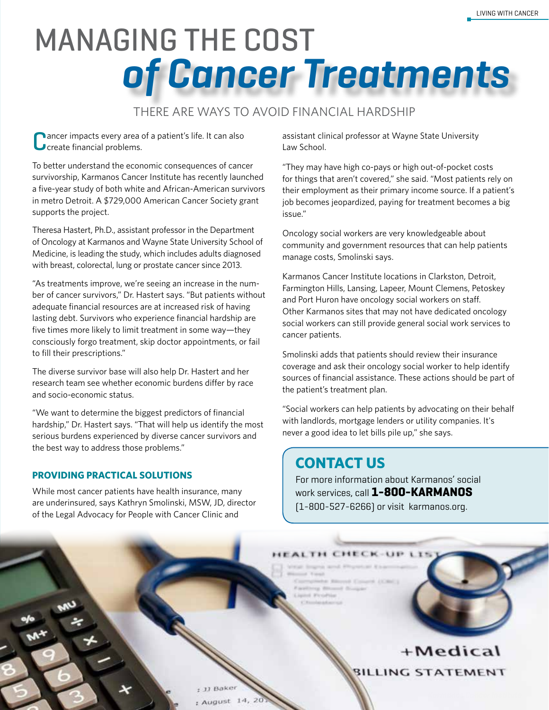# **of Cancer Treatments MANAGING THE COST**

#### THERE ARE WAYS TO AVOID FINANCIAL HARDSHIP

ancer impacts every area of a patient's life. It can also **J** create financial problems.

To better understand the economic consequences of cancer survivorship, Karmanos Cancer Institute has recently launched a five-year study of both white and African-American survivors in metro Detroit. A \$729,000 American Cancer Society grant supports the project.

Theresa Hastert, Ph.D., assistant professor in the Department of Oncology at Karmanos and Wayne State University School of Medicine, is leading the study, which includes adults diagnosed with breast, colorectal, lung or prostate cancer since 2013.

"As treatments improve, we're seeing an increase in the number of cancer survivors," Dr. Hastert says. "But patients without adequate financial resources are at increased risk of having lasting debt. Survivors who experience financial hardship are five times more likely to limit treatment in some way—they consciously forgo treatment, skip doctor appointments, or fail to fill their prescriptions."

The diverse survivor base will also help Dr. Hastert and her research team see whether economic burdens differ by race and socio-economic status.

"We want to determine the biggest predictors of financial hardship," Dr. Hastert says. "That will help us identify the most serious burdens experienced by diverse cancer survivors and the best way to address those problems."

#### **PROVIDING PRACTICAL SOLUTIONS**

While most cancer patients have health insurance, many are underinsured, says Kathryn Smolinski, MSW, JD, director of the Legal Advocacy for People with Cancer Clinic and

assistant clinical professor at Wayne State University Law School.

"They may have high co-pays or high out-of-pocket costs for things that aren't covered," she said. "Most patients rely on their employment as their primary income source. If a patient's job becomes jeopardized, paying for treatment becomes a big issue."

Oncology social workers are very knowledgeable about community and government resources that can help patients manage costs, Smolinski says.

Karmanos Cancer Institute locations in Clarkston, Detroit, Farmington Hills, Lansing, Lapeer, Mount Clemens, Petoskey and Port Huron have oncology social workers on staff. Other Karmanos sites that may not have dedicated oncology social workers can still provide general social work services to cancer patients.

Smolinski adds that patients should review their insurance coverage and ask their oncology social worker to help identify sources of financial assistance. These actions should be part of the patient's treatment plan.

"Social workers can help patients by advocating on their behalf with landlords, mortgage lenders or utility companies. It's never a good idea to let bills pile up," she says.

#### **CONTACT US**

For more information about Karmanos' social work services, call **1-800-KARMANOS** (1-800-527-6266) or visit karmanos.org.

HECK-UP

HEALTH C

+Medical **BILLING STATEMENT**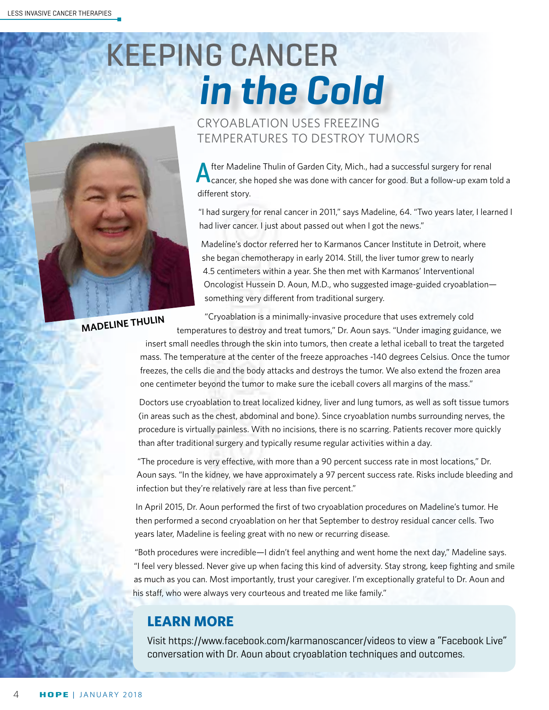# **in the Cold** KEEPING CANCER



#### CRYOABLATION USES FREEZING TEMPERATURES TO DESTROY TUMORS

After Madeline Thulin of Garden City, Mich., had a successful surgery for renal<br>Cancer, she hoped she was done with cancer for good. But a follow-up exam told a different story.

"I had surgery for renal cancer in 2011," says Madeline, 64. "Two years later, I learned I had liver cancer. I just about passed out when I got the news."

Madeline's doctor referred her to Karmanos Cancer Institute in Detroit, where she began chemotherapy in early 2014. Still, the liver tumor grew to nearly 4.5 centimeters within a year. She then met with Karmanos' Interventional Oncologist Hussein D. Aoun, M.D., who suggested image-guided cryoablation something very different from traditional surgery.

**MADELINE THULIN**

"Cryoablation is a minimally-invasive procedure that uses extremely cold temperatures to destroy and treat tumors," Dr. Aoun says. "Under imaging guidance, we

insert small needles through the skin into tumors, then create a lethal iceball to treat the targeted mass. The temperature at the center of the freeze approaches -140 degrees Celsius. Once the tumor freezes, the cells die and the body attacks and destroys the tumor. We also extend the frozen area one centimeter beyond the tumor to make sure the iceball covers all margins of the mass."

Doctors use cryoablation to treat localized kidney, liver and lung tumors, as well as soft tissue tumors (in areas such as the chest, abdominal and bone). Since cryoablation numbs surrounding nerves, the procedure is virtually painless. With no incisions, there is no scarring. Patients recover more quickly than after traditional surgery and typically resume regular activities within a day.

"The procedure is very effective, with more than a 90 percent success rate in most locations," Dr. Aoun says. "In the kidney, we have approximately a 97 percent success rate. Risks include bleeding and infection but they're relatively rare at less than five percent."

In April 2015, Dr. Aoun performed the first of two cryoablation procedures on Madeline's tumor. He then performed a second cryoablation on her that September to destroy residual cancer cells. Two years later, Madeline is feeling great with no new or recurring disease.

"Both procedures were incredible—I didn't feel anything and went home the next day," Madeline says. "I feel very blessed. Never give up when facing this kind of adversity. Stay strong, keep fighting and smile as much as you can. Most importantly, trust your caregiver. I'm exceptionally grateful to Dr. Aoun and his staff, who were always very courteous and treated me like family."

#### **LEARN MORE**

Visit https://www.facebook.com/karmanoscancer/videos to view a "Facebook Live" conversation with Dr. Aoun about cryoablation techniques and outcomes.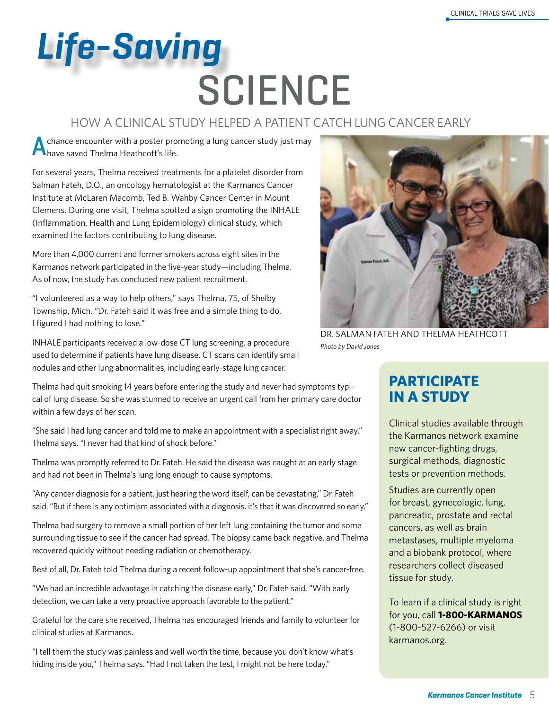# **SCIENCE Life-Saving**

#### HOW A CLINICAL STUDY HELPED A PATIENT CATCH LUNG CANCER EARLY

chance encounter with a poster promoting a lung cancer study just may **A** have saved Thelma Heathcott's life.

For several years, Thelma received treatments for a platelet disorder from Salman Fateh, D.O., an oncology hematologist at the Karmanos Cancer Institute at McLaren Macomb, Ted B. Wahby Cancer Center in Mount Clemens. During one visit, Thelma spotted a sign promoting the INHALE (Inflammation, Health and Lung Epidemiology) clinical study, which examined the factors contributing to lung disease.

More than 4,000 current and former smokers across eight sites in the Karmanos network participated in the five-year study—including Thelma. As of now, the study has concluded new patient recruitment.

"I volunteered as a way to help others," says Thelma, 75, of Shelby Township, Mich. "Dr. Fateh said it was free and a simple thing to do. I figured I had nothing to lose."

INHALE participants received a low-dose CT lung screening, a procedure used to determine if patients have lung disease. CT scans can identify small nodules and other lung abnormalities, including early-stage lung cancer.

Thelma had quit smoking 14 years before entering the study and never had symptoms typical of lung disease. So she was stunned to receive an urgent call from her primary care doctor within a few days of her scan.

"She said I had lung cancer and told me to make an appointment with a specialist right away," Thelma says. "I never had that kind of shock before."

Thelma was promptly referred to Dr. Fateh. He said the disease was caught at an early stage and had not been in Thelma's lung long enough to cause symptoms.

"Any cancer diagnosis for a patient, just hearing the word itself, can be devastating," Dr. Fateh said. "But if there is any optimism associated with a diagnosis, it's that it was discovered so early."

Thelma had surgery to remove a small portion of her left lung containing the tumor and some surrounding tissue to see if the cancer had spread. The biopsy came back negative, and Thelma recovered quickly without needing radiation or chemotherapy.

Best of all, Dr. Fateh told Thelma during a recent follow-up appointment that she's cancer-free.

"We had an incredible advantage in catching the disease early," Dr. Fateh said. "With early detection, we can take a very proactive approach favorable to the patient."

Grateful for the care she received, Thelma has encouraged friends and family to volunteer for clinical studies at Karmanos.

"I tell them the study was painless and well worth the time, because you don't know what's hiding inside you," Thelma says. "Had I not taken the test, I might not be here today."



DR. SALMAN FATEH AND THELMA HEATHCOTT *Photo by David Jones*

#### **PARTICIPATE IN A STUDY**

Clinical studies available through the Karmanos network examine new cancer-fighting drugs, surgical methods, diagnostic tests or prevention methods.

Studies are currently open for breast, gynecologic, lung, pancreatic, prostate and rectal cancers, as well as brain metastases, multiple myeloma and a biobank protocol, where researchers collect diseased tissue for study.

To learn if a clinical study is right for you, call **1-800-KARMANOS**  (1-800-527-6266) or visit karmanos.org.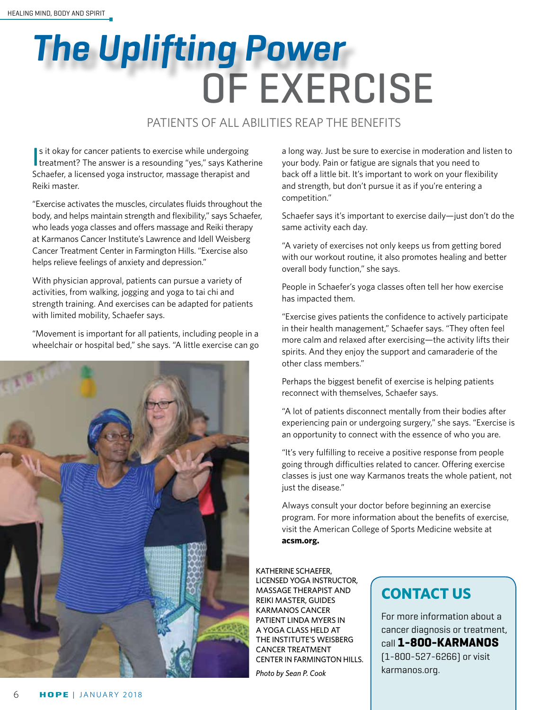# OF EXERCISE **The Uplifting Power**

#### PATIENTS OF ALL ABILITIES REAP THE BENEFITS

In sit okay for cancer patients to exercise while undergoing<br>treatment? The answer is a resounding "yes," says Katherine s it okay for cancer patients to exercise while undergoing Schaefer, a licensed yoga instructor, massage therapist and Reiki master.

"Exercise activates the muscles, circulates fluids throughout the body, and helps maintain strength and flexibility," says Schaefer, who leads yoga classes and offers massage and Reiki therapy at Karmanos Cancer Institute's Lawrence and Idell Weisberg Cancer Treatment Center in Farmington Hills. "Exercise also helps relieve feelings of anxiety and depression."

With physician approval, patients can pursue a variety of activities, from walking, jogging and yoga to tai chi and strength training. And exercises can be adapted for patients with limited mobility, Schaefer says.

"Movement is important for all patients, including people in a wheelchair or hospital bed," she says. "A little exercise can go



a long way. Just be sure to exercise in moderation and listen to your body. Pain or fatigue are signals that you need to back off a little bit. It's important to work on your flexibility and strength, but don't pursue it as if you're entering a competition."

Schaefer says it's important to exercise daily—just don't do the same activity each day.

"A variety of exercises not only keeps us from getting bored with our workout routine, it also promotes healing and better overall body function," she says.

People in Schaefer's yoga classes often tell her how exercise has impacted them.

"Exercise gives patients the confidence to actively participate in their health management," Schaefer says. "They often feel more calm and relaxed after exercising—the activity lifts their spirits. And they enjoy the support and camaraderie of the other class members."

Perhaps the biggest benefit of exercise is helping patients reconnect with themselves, Schaefer says.

"A lot of patients disconnect mentally from their bodies after experiencing pain or undergoing surgery," she says. "Exercise is an opportunity to connect with the essence of who you are.

"It's very fulfilling to receive a positive response from people going through difficulties related to cancer. Offering exercise classes is just one way Karmanos treats the whole patient, not just the disease."

Always consult your doctor before beginning an exercise program. For more information about the benefits of exercise, visit the American College of Sports Medicine website at **acsm.org.**

KATHERINE SCHAEFER, LICENSED YOGA INSTRUCTOR, MASSAGE THERAPIST AND REIKI MASTER, GUIDES KARMANOS CANCER PATIENT LINDA MYERS IN A YOGA CLASS HELD AT THE INSTITUTE'S WEISBERG CANCER TREATMENT CENTER IN FARMINGTON HILLS.

*Photo by Sean P. Cook*

### **CONTACT US**

For more information about a cancer diagnosis or treatment, call **1-800-KARMANOS** (1-800-527-6266) or visit karmanos.org.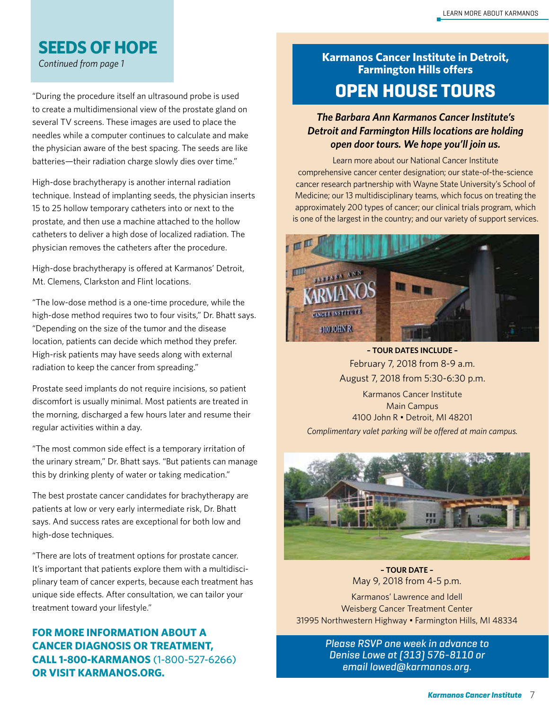#### **SEEDS OF HOPE**

"During the procedure itself an ultrasound probe is used to create a multidimensional view of the prostate gland on several TV screens. These images are used to place the needles while a computer continues to calculate and make the physician aware of the best spacing. The seeds are like batteries—their radiation charge slowly dies over time."

High-dose brachytherapy is another internal radiation technique. Instead of implanting seeds, the physician inserts 15 to 25 hollow temporary catheters into or next to the prostate, and then use a machine attached to the hollow catheters to deliver a high dose of localized radiation. The physician removes the catheters after the procedure.

High-dose brachytherapy is offered at Karmanos' Detroit, Mt. Clemens, Clarkston and Flint locations.

"The low-dose method is a one-time procedure, while the high-dose method requires two to four visits," Dr. Bhatt says. "Depending on the size of the tumor and the disease location, patients can decide which method they prefer. High-risk patients may have seeds along with external radiation to keep the cancer from spreading."

Prostate seed implants do not require incisions, so patient discomfort is usually minimal. Most patients are treated in the morning, discharged a few hours later and resume their regular activities within a day.

"The most common side effect is a temporary irritation of the urinary stream," Dr. Bhatt says. "But patients can manage this by drinking plenty of water or taking medication."

The best prostate cancer candidates for brachytherapy are patients at low or very early intermediate risk, Dr. Bhatt says. And success rates are exceptional for both low and high-dose techniques.

"There are lots of treatment options for prostate cancer. It's important that patients explore them with a multidisciplinary team of cancer experts, because each treatment has unique side effects. After consultation, we can tailor your treatment toward your lifestyle."

#### **FOR MORE INFORMATION ABOUT A CANCER DIAGNOSIS OR TREATMENT, CALL 1-800-KARMANOS** (1-800-527-6266) **OR VISIT KARMANOS.ORG.**

#### *Continued from page 1* **Karmanos Cancer Institute in Detroit, Farmington Hills offers OPEN HOUSE TOURS**

#### *The Barbara Ann Karmanos Cancer Institute's Detroit and Farmington Hills locations are holding open door tours. We hope you'll join us.*

Learn more about our National Cancer Institute comprehensive cancer center designation; our state-of-the-science cancer research partnership with Wayne State University's School of Medicine; our 13 multidisciplinary teams, which focus on treating the approximately 200 types of cancer; our clinical trials program, which is one of the largest in the country; and our variety of support services.



**– TOUR DATES INCLUDE –**  February 7, 2018 from 8-9 a.m. August 7, 2018 from 5:30-6:30 p.m.

Karmanos Cancer Institute Main Campus 4100 John R • Detroit, MI 48201 *Complimentary valet parking will be offered at main campus.*



**– TOUR DATE –**  May 9, 2018 from 4-5 p.m.

Karmanos' Lawrence and Idell Weisberg Cancer Treatment Center 31995 Northwestern Highway • Farmington Hills, MI 48334

> Please RSVP one week in advance to Denise Lowe at (313) 576-8110 or email lowed@karmanos.org.